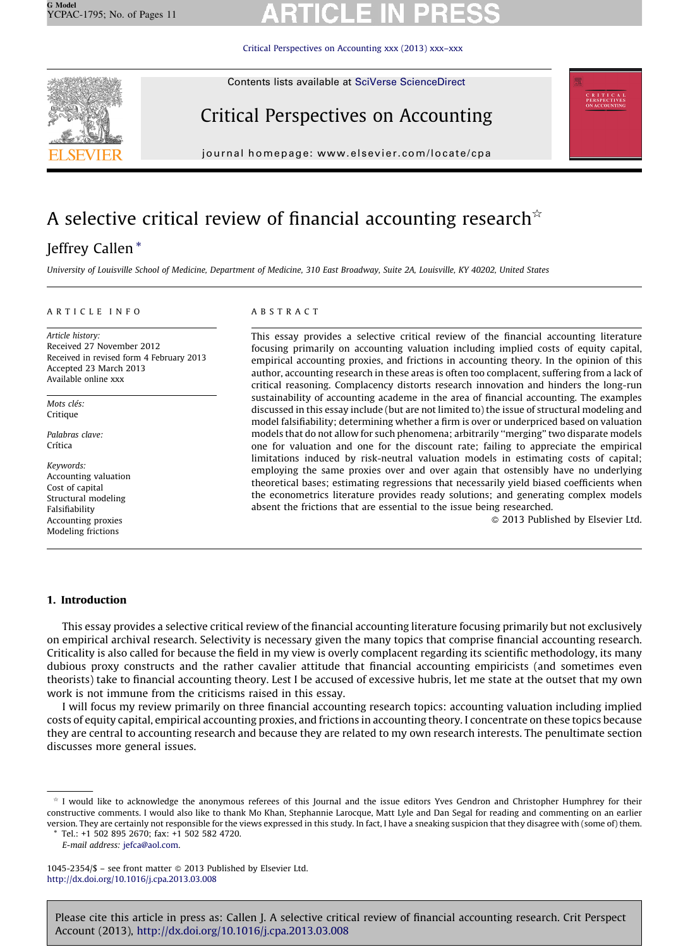[Critical Perspectives on Accounting xxx \(2013\) xxx–xxx](http://dx.doi.org/10.1016/j.cpa.2013.03.008)



Contents lists available at [SciVerse ScienceDirect](http://www.sciencedirect.com/science/journal/10452354)

# Critical Perspectives on Accounting



journal homepage: www.elsevier.com/locate/cpa

# A selective critical review of financial accounting research<sup> $\star$ </sup>

### Jeffrey Callen \*

University of Louisville School of Medicine, Department of Medicine, 310 East Broadway, Suite 2A, Louisville, KY 40202, United States

#### ARTICLE INFO

Article history: Received 27 November 2012 Received in revised form 4 February 2013 Accepted 23 March 2013 Available online xxx

Mots clés: Critique

Palabras clave: Crítica

Keywords: Accounting valuation Cost of capital Structural modeling Falsifiability Accounting proxies Modeling frictions

#### ABSTRACT

This essay provides a selective critical review of the financial accounting literature focusing primarily on accounting valuation including implied costs of equity capital, empirical accounting proxies, and frictions in accounting theory. In the opinion of this author, accounting research in these areas is often too complacent, suffering from a lack of critical reasoning. Complacency distorts research innovation and hinders the long-run sustainability of accounting academe in the area of financial accounting. The examples discussed in this essay include (but are not limited to) the issue of structural modeling and model falsifiability; determining whether a firm is over or underpriced based on valuation models that do not allow for such phenomena; arbitrarily ''merging'' two disparate models one for valuation and one for the discount rate; failing to appreciate the empirical limitations induced by risk-neutral valuation models in estimating costs of capital; employing the same proxies over and over again that ostensibly have no underlying theoretical bases; estimating regressions that necessarily yield biased coefficients when the econometrics literature provides ready solutions; and generating complex models absent the frictions that are essential to the issue being researched.

- 2013 Published by Elsevier Ltd.

#### 1. Introduction

This essay provides a selective critical review of the financial accounting literature focusing primarily but not exclusively on empirical archival research. Selectivity is necessary given the many topics that comprise financial accounting research. Criticality is also called for because the field in my view is overly complacent regarding its scientific methodology, its many dubious proxy constructs and the rather cavalier attitude that financial accounting empiricists (and sometimes even theorists) take to financial accounting theory. Lest I be accused of excessive hubris, let me state at the outset that my own work is not immune from the criticisms raised in this essay.

I will focus my review primarily on three financial accounting research topics: accounting valuation including implied costs of equity capital, empirical accounting proxies, and frictions in accounting theory. I concentrate on these topics because they are central to accounting research and because they are related to my own research interests. The penultimate section discusses more general issues.

Tel.: +1 502 895 2670; fax: +1 502 582 4720.

Please cite this article in press as: Callen J. A selective critical review of financial accounting research. Crit Perspect Account (2013), <http://dx.doi.org/10.1016/j.cpa.2013.03.008>

 $*$  I would like to acknowledge the anonymous referees of this Journal and the issue editors Yves Gendron and Christopher Humphrey for their constructive comments. I would also like to thank Mo Khan, Stephannie Larocque, Matt Lyle and Dan Segal for reading and commenting on an earlier version. They are certainly not responsible for the views expressed in this study. In fact, I have a sneaking suspicion that they disagree with (some of) them.

E-mail address: [jefca@aol.com.](mailto:jefca@aol.com)

<sup>1045-2354/\$ –</sup> see front matter © 2013 Published by Elsevier Ltd. <http://dx.doi.org/10.1016/j.cpa.2013.03.008>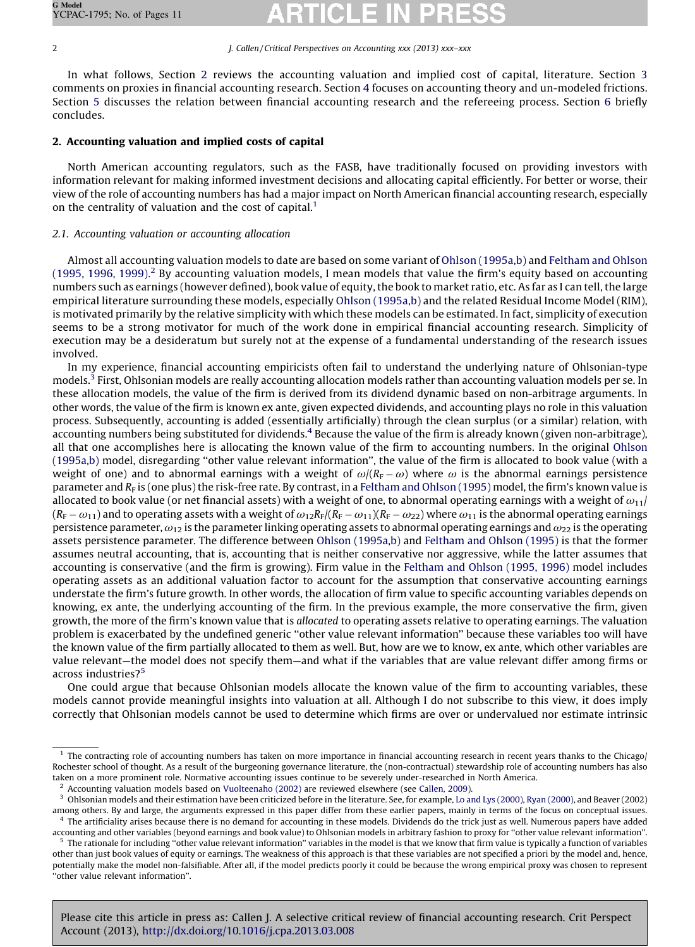#### 2 J. Callen / Critical Perspectives on Accounting xxx (2013) xxx-xxx

In what follows, Section 2 reviews the accounting valuation and implied cost of capital, literature. Section [3](#page--1-0) comments on proxies in financial accounting research. Section [4](#page--1-0) focuses on accounting theory and un-modeled frictions. Section [5](#page--1-0) discusses the relation between financial accounting research and the refereeing process. Section [6](#page--1-0) briefly concludes.

### 2. Accounting valuation and implied costs of capital

North American accounting regulators, such as the FASB, have traditionally focused on providing investors with information relevant for making informed investment decisions and allocating capital efficiently. For better or worse, their view of the role of accounting numbers has had a major impact on North American financial accounting research, especially on the centrality of valuation and the cost of capital.<sup>1</sup>

### 2.1. Accounting valuation or accounting allocation

Almost all accounting valuation models to date are based on some variant of [Ohlson \(1995a,b\)](#page--1-0) and [Feltham and Ohlson](#page--1-0) [\(1995, 1996, 1999\).](#page--1-0)<sup>2</sup> By accounting valuation models, I mean models that value the firm's equity based on accounting numbers such as earnings (however defined), book value of equity, the book to market ratio, etc. As far as I can tell, the large empirical literature surrounding these models, especially [Ohlson \(1995a,b\)](#page--1-0) and the related Residual Income Model (RIM), is motivated primarily by the relative simplicity with which these models can be estimated. In fact, simplicity of execution seems to be a strong motivator for much of the work done in empirical financial accounting research. Simplicity of execution may be a desideratum but surely not at the expense of a fundamental understanding of the research issues involved.

In my experience, financial accounting empiricists often fail to understand the underlying nature of Ohlsonian-type models.<sup>3</sup> First, Ohlsonian models are really accounting allocation models rather than accounting valuation models per se. In these allocation models, the value of the firm is derived from its dividend dynamic based on non-arbitrage arguments. In other words, the value of the firm is known ex ante, given expected dividends, and accounting plays no role in this valuation process. Subsequently, accounting is added (essentially artificially) through the clean surplus (or a similar) relation, with accounting numbers being substituted for dividends.<sup>4</sup> Because the value of the firm is already known (given non-arbitrage), all that one accomplishes here is allocating the known value of the firm to accounting numbers. In the original [Ohlson](#page--1-0) [\(1995a,b\)](#page--1-0) model, disregarding ''other value relevant information'', the value of the firm is allocated to book value (with a weight of one) and to abnormal earnings with a weight of  $\omega/(R_{\rm F}-\omega)$  where  $\omega$  is the abnormal earnings persistence parameter and  $R_F$  is (one plus) the risk-free rate. By contrast, in a [Feltham and Ohlson \(1995\)](#page--1-0) model, the firm's known value is allocated to book value (or net financial assets) with a weight of one, to abnormal operating earnings with a weight of  $\omega_{11}$  $(R_{\rm F}-\omega_{11})$  and to operating assets with a weight of  $\omega_{12}R_{\rm F}/(R_{\rm F}-\omega_{11})(R_{\rm F}-\omega_{22})$  where  $\omega_{11}$  is the abnormal operating earnings persistence parameter,  $\omega_{12}$  is the parameter linking operating assets to abnormal operating earnings and  $\omega_{22}$  is the operating assets persistence parameter. The difference between [Ohlson \(1995a,b\)](#page--1-0) and [Feltham and Ohlson \(1995\)](#page--1-0) is that the former assumes neutral accounting, that is, accounting that is neither conservative nor aggressive, while the latter assumes that accounting is conservative (and the firm is growing). Firm value in the [Feltham and Ohlson \(1995, 1996\)](#page--1-0) model includes operating assets as an additional valuation factor to account for the assumption that conservative accounting earnings understate the firm's future growth. In other words, the allocation of firm value to specific accounting variables depends on knowing, ex ante, the underlying accounting of the firm. In the previous example, the more conservative the firm, given growth, the more of the firm's known value that is allocated to operating assets relative to operating earnings. The valuation problem is exacerbated by the undefined generic ''other value relevant information'' because these variables too will have the known value of the firm partially allocated to them as well. But, how are we to know, ex ante, which other variables are value relevant—the model does not specify them—and what if the variables that are value relevant differ among firms or across industries?<sup>5</sup>

One could argue that because Ohlsonian models allocate the known value of the firm to accounting variables, these models cannot provide meaningful insights into valuation at all. Although I do not subscribe to this view, it does imply correctly that Ohlsonian models cannot be used to determine which firms are over or undervalued nor estimate intrinsic

Please cite this article in press as: Callen J. A selective critical review of financial accounting research. Crit Perspect Account (2013), <http://dx.doi.org/10.1016/j.cpa.2013.03.008>

 $1$  The contracting role of accounting numbers has taken on more importance in financial accounting research in recent years thanks to the Chicago/ Rochester school of thought. As a result of the burgeoning governance literature, the (non-contractual) stewardship role of accounting numbers has also taken on a more prominent role. Normative accounting issues continue to be severely under-researched in North America.

<sup>2</sup> Accounting valuation models based on [Vuolteenaho \(2002\)](#page--1-0) are reviewed elsewhere (see [Callen, 2009\)](#page--1-0).

<sup>&</sup>lt;sup>3</sup> Ohlsonian models and their estimation have been criticized before in the literature. See, for example, [Lo and Lys \(2000\),](#page--1-0) [Ryan \(2000\)](#page--1-0), and Beaver (2002) among others. By and large, the arguments expressed in this paper differ from these earlier papers, mainly in terms of the focus on conceptual issues.  $<sup>4</sup>$  The artificiality arises because there is no demand for accounting in these models. Dividends do the trick just as well. Numerous papers have added</sup>

accounting and other variables (beyond earnings and book value) to Ohlsonian models in arbitrary fashion to proxy for ''other value relevant information''.  $5$  The rationale for including "other value relevant information" variables in the model is that we know that firm value is typically a function of variables other than just book values of equity or earnings. The weakness of this approach is that these variables are not specified a priori by the model and, hence, potentially make the model non-falsifiable. After all, if the model predicts poorly it could be because the wrong empirical proxy was chosen to represent ''other value relevant information''.